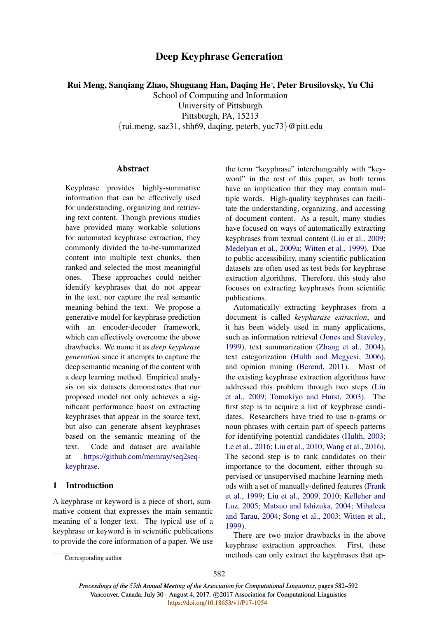# Deep Keyphrase Generation

Rui Meng, Sanqiang Zhao, Shuguang Han, Daqing He<sup>∗</sup> , Peter Brusilovsky, Yu Chi

School of Computing and Information University of Pittsburgh Pittsburgh, PA, 15213 {rui.meng, saz31, shh69, daqing, peterb, yuc73}@pitt.edu

# **Abstract**

Keyphrase provides highly-summative information that can be effectively used for understanding, organizing and retrieving text content. Though previous studies have provided many workable solutions for automated keyphrase extraction, they commonly divided the to-be-summarized content into multiple text chunks, then ranked and selected the most meaningful ones. These approaches could neither identify keyphrases that do not appear in the text, nor capture the real semantic meaning behind the text. We propose a generative model for keyphrase prediction with an encoder-decoder framework, which can effectively overcome the above drawbacks. We name it as *deep keyphrase generation* since it attempts to capture the deep semantic meaning of the content with a deep learning method. Empirical analysis on six datasets demonstrates that our proposed model not only achieves a significant performance boost on extracting keyphrases that appear in the source text, but also can generate absent keyphrases based on the semantic meaning of the text. Code and dataset are available at https://github.com/memray/seq2seqkeyphrase.

# 1 Introduction

A keyphrase or keyword is a piece of short, summative content that expresses the main semantic meaning of a longer text. The typical use of a keyphrase or keyword is in scientific publications to provide the core information of a paper. We use the term "keyphrase" interchangeably with "keyword" in the rest of this paper, as both terms have an implication that they may contain multiple words. High-quality keyphrases can facilitate the understanding, organizing, and accessing of document content. As a result, many studies have focused on ways of automatically extracting keyphrases from textual content (Liu et al., 2009; Medelyan et al., 2009a; Witten et al., 1999). Due to public accessibility, many scientific publication datasets are often used as test beds for keyphrase extraction algorithms. Therefore, this study also focuses on extracting keyphrases from scientific publications.

Automatically extracting keyphrases from a document is called *keypharase extraction*, and it has been widely used in many applications, such as information retrieval (Jones and Staveley, 1999), text summarization (Zhang et al., 2004), text categorization (Hulth and Megyesi, 2006), and opinion mining (Berend, 2011). Most of the existing keyphrase extraction algorithms have addressed this problem through two steps (Liu et al., 2009; Tomokiyo and Hurst, 2003). The first step is to acquire a list of keyphrase candidates. Researchers have tried to use n-grams or noun phrases with certain part-of-speech patterns for identifying potential candidates (Hulth, 2003; Le et al., 2016; Liu et al., 2010; Wang et al., 2016). The second step is to rank candidates on their importance to the document, either through supervised or unsupervised machine learning methods with a set of manually-defined features (Frank et al., 1999; Liu et al., 2009, 2010; Kelleher and Luz, 2005; Matsuo and Ishizuka, 2004; Mihalcea and Tarau, 2004; Song et al., 2003; Witten et al., 1999).

There are two major drawbacks in the above keyphrase extraction approaches. First, these methods can only extract the keyphrases that ap-

Corresponding author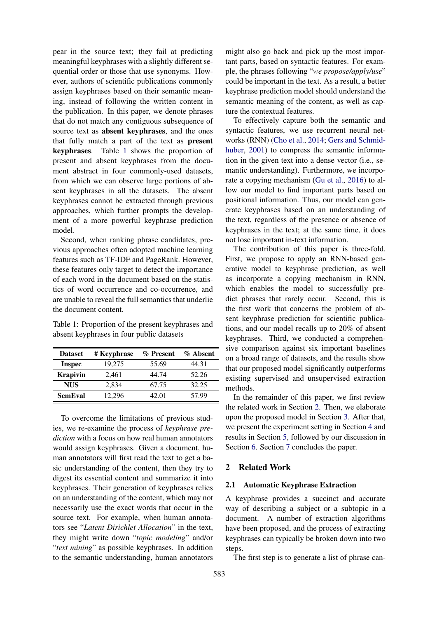pear in the source text; they fail at predicting meaningful keyphrases with a slightly different sequential order or those that use synonyms. However, authors of scientific publications commonly assign keyphrases based on their semantic meaning, instead of following the written content in the publication. In this paper, we denote phrases that do not match any contiguous subsequence of source text as absent keyphrases, and the ones that fully match a part of the text as present keyphrases. Table 1 shows the proportion of present and absent keyphrases from the document abstract in four commonly-used datasets, from which we can observe large portions of absent keyphrases in all the datasets. The absent keyphrases cannot be extracted through previous approaches, which further prompts the development of a more powerful keyphrase prediction model.

Second, when ranking phrase candidates, previous approaches often adopted machine learning features such as TF-IDF and PageRank. However, these features only target to detect the importance of each word in the document based on the statistics of word occurrence and co-occurrence, and are unable to reveal the full semantics that underlie the document content.

Table 1: Proportion of the present keyphrases and absent keyphrases in four public datasets

| <b>Dataset</b>  | # Keyphrase | % Present | % Absent |  |
|-----------------|-------------|-----------|----------|--|
| <b>Inspec</b>   | 19,275      | 55.69     | 44.31    |  |
| <b>Krapivin</b> | 2,461       | 44.74     | 52.26    |  |
| <b>NUS</b>      | 2.834       | 67.75     | 32.25    |  |
| <b>SemEval</b>  | 12.296      | 42.01     | 57.99    |  |

To overcome the limitations of previous studies, we re-examine the process of *keyphrase prediction* with a focus on how real human annotators would assign keyphrases. Given a document, human annotators will first read the text to get a basic understanding of the content, then they try to digest its essential content and summarize it into keyphrases. Their generation of keyphrases relies on an understanding of the content, which may not necessarily use the exact words that occur in the source text. For example, when human annotators see "*Latent Dirichlet Allocation*" in the text, they might write down "*topic modeling*" and/or "*text mining*" as possible keyphrases. In addition to the semantic understanding, human annotators

might also go back and pick up the most important parts, based on syntactic features. For example, the phrases following "*we propose/apply/use*" could be important in the text. As a result, a better keyphrase prediction model should understand the semantic meaning of the content, as well as capture the contextual features.

To effectively capture both the semantic and syntactic features, we use recurrent neural networks (RNN) (Cho et al., 2014; Gers and Schmidhuber, 2001) to compress the semantic information in the given text into a dense vector (i.e., semantic understanding). Furthermore, we incorporate a copying mechanism (Gu et al., 2016) to allow our model to find important parts based on positional information. Thus, our model can generate keyphrases based on an understanding of the text, regardless of the presence or absence of keyphrases in the text; at the same time, it does not lose important in-text information.

The contribution of this paper is three-fold. First, we propose to apply an RNN-based generative model to keyphrase prediction, as well as incorporate a copying mechanism in RNN, which enables the model to successfully predict phrases that rarely occur. Second, this is the first work that concerns the problem of absent keyphrase prediction for scientific publications, and our model recalls up to 20% of absent keyphrases. Third, we conducted a comprehensive comparison against six important baselines on a broad range of datasets, and the results show that our proposed model significantly outperforms existing supervised and unsupervised extraction methods.

In the remainder of this paper, we first review the related work in Section 2. Then, we elaborate upon the proposed model in Section 3. After that, we present the experiment setting in Section 4 and results in Section 5, followed by our discussion in Section 6. Section 7 concludes the paper.

# 2 Related Work

### 2.1 Automatic Keyphrase Extraction

A keyphrase provides a succinct and accurate way of describing a subject or a subtopic in a document. A number of extraction algorithms have been proposed, and the process of extracting keyphrases can typically be broken down into two steps.

The first step is to generate a list of phrase can-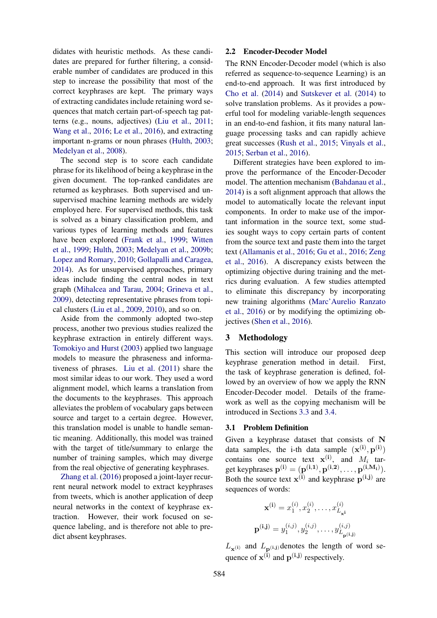didates with heuristic methods. As these candidates are prepared for further filtering, a considerable number of candidates are produced in this step to increase the possibility that most of the correct keyphrases are kept. The primary ways of extracting candidates include retaining word sequences that match certain part-of-speech tag patterns (e.g., nouns, adjectives) (Liu et al., 2011; Wang et al., 2016; Le et al., 2016), and extracting important n-grams or noun phrases (Hulth, 2003; Medelyan et al., 2008).

The second step is to score each candidate phrase for its likelihood of being a keyphrase in the given document. The top-ranked candidates are returned as keyphrases. Both supervised and unsupervised machine learning methods are widely employed here. For supervised methods, this task is solved as a binary classification problem, and various types of learning methods and features have been explored (Frank et al., 1999; Witten et al., 1999; Hulth, 2003; Medelyan et al., 2009b; Lopez and Romary, 2010; Gollapalli and Caragea, 2014). As for unsupervised approaches, primary ideas include finding the central nodes in text graph (Mihalcea and Tarau, 2004; Grineva et al., 2009), detecting representative phrases from topical clusters (Liu et al., 2009, 2010), and so on.

Aside from the commonly adopted two-step process, another two previous studies realized the keyphrase extraction in entirely different ways. Tomokiyo and Hurst (2003) applied two language models to measure the phraseness and informativeness of phrases. Liu et al. (2011) share the most similar ideas to our work. They used a word alignment model, which learns a translation from the documents to the keyphrases. This approach alleviates the problem of vocabulary gaps between source and target to a certain degree. However, this translation model is unable to handle semantic meaning. Additionally, this model was trained with the target of title/summary to enlarge the number of training samples, which may diverge from the real objective of generating keyphrases.

Zhang et al. (2016) proposed a joint-layer recurrent neural network model to extract keyphrases from tweets, which is another application of deep neural networks in the context of keyphrase extraction. However, their work focused on sequence labeling, and is therefore not able to predict absent keyphrases.

# 2.2 Encoder-Decoder Model

The RNN Encoder-Decoder model (which is also referred as sequence-to-sequence Learning) is an end-to-end approach. It was first introduced by Cho et al. (2014) and Sutskever et al. (2014) to solve translation problems. As it provides a powerful tool for modeling variable-length sequences in an end-to-end fashion, it fits many natural language processing tasks and can rapidly achieve great successes (Rush et al., 2015; Vinyals et al., 2015; Serban et al., 2016).

Different strategies have been explored to improve the performance of the Encoder-Decoder model. The attention mechanism (Bahdanau et al., 2014) is a soft alignment approach that allows the model to automatically locate the relevant input components. In order to make use of the important information in the source text, some studies sought ways to copy certain parts of content from the source text and paste them into the target text (Allamanis et al., 2016; Gu et al., 2016; Zeng et al., 2016). A discrepancy exists between the optimizing objective during training and the metrics during evaluation. A few studies attempted to eliminate this discrepancy by incorporating new training algorithms (Marc'Aurelio Ranzato et al., 2016) or by modifying the optimizing objectives (Shen et al., 2016).

# 3 Methodology

This section will introduce our proposed deep keyphrase generation method in detail. First, the task of keyphrase generation is defined, followed by an overview of how we apply the RNN Encoder-Decoder model. Details of the framework as well as the copying mechanism will be introduced in Sections 3.3 and 3.4.

#### 3.1 Problem Definition

Given a keyphrase dataset that consists of N data samples, the i-th data sample  $(\mathbf{x}^{(i)}, \mathbf{p}^{(i)})$ contains one source text  $\mathbf{x}^{(i)}$ , and  $M_i$  target keyphrases  ${\bf p}^{(i)} = ({\bf p}^{(i,1)},{\bf p}^{(i,2)},\ldots,{\bf p}^{(i,M_i)}).$ Both the source text  $x^{(i)}$  and keyphrase  $p^{(i,j)}$  are sequences of words:

$$
\mathbf{x^{(i)}} = x_1^{(i)}, x_2^{(i)}, \dots, x_{L_{\mathbf{x}^{i}}}^{(i)}
$$

$$
\mathbf{p^{(i,j)}} = y_1^{(i,j)}, y_2^{(i,j)}, \dots, y_{L_{\mathbf{p^{(i,j)}}}}^{(i,j)}
$$

 $L_{\mathbf{x}^{(i)}}$  and  $L_{\mathbf{p}^{(i,j)}}$  denotes the length of word sequence of  $x^{(i)}$  and  $p^{(i,j)}$  respectively.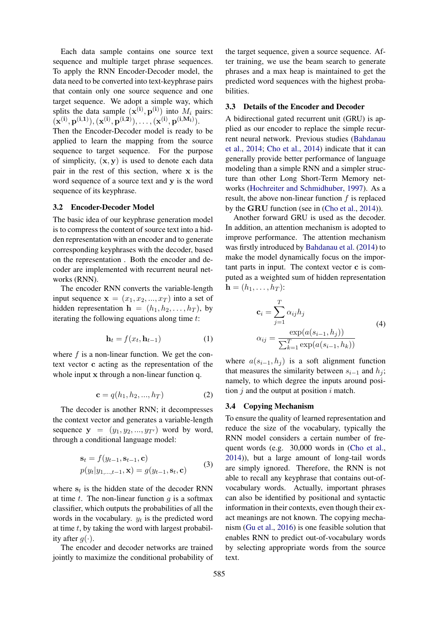Each data sample contains one source text sequence and multiple target phrase sequences. To apply the RNN Encoder-Decoder model, the data need to be converted into text-keyphrase pairs that contain only one source sequence and one target sequence. We adopt a simple way, which splits the data sample  $(\mathbf{x}^{(i)}, \mathbf{p}^{(i)})$  into  $M_i$  pairs:  $({\bf x}^{(i)},{\bf p}^{(i,1)}),({\bf x}^{(i)},{\bf p}^{(i,2)}),\ldots,({\bf x}^{(i)},{\bf p}^{(i,M_i)}).$ 

Then the Encoder-Decoder model is ready to be applied to learn the mapping from the source sequence to target sequence. For the purpose of simplicity,  $(x, y)$  is used to denote each data pair in the rest of this section, where x is the word sequence of a source text and y is the word sequence of its keyphrase.

### 3.2 Encoder-Decoder Model

The basic idea of our keyphrase generation model is to compress the content of source text into a hidden representation with an encoder and to generate corresponding keyphrases with the decoder, based on the representation . Both the encoder and decoder are implemented with recurrent neural networks (RNN).

The encoder RNN converts the variable-length input sequence  $\mathbf{x} = (x_1, x_2, ..., x_T)$  into a set of hidden representation  $h = (h_1, h_2, \ldots, h_T)$ , by iterating the following equations along time t:

$$
\mathbf{h}_t = f(x_t, \mathbf{h}_{t-1}) \tag{1}
$$

where  $f$  is a non-linear function. We get the context vector c acting as the representation of the whole input x through a non-linear function q.

$$
\mathbf{c} = q(h_1, h_2, ..., h_T) \tag{2}
$$

The decoder is another RNN; it decompresses the context vector and generates a variable-length sequence  $y = (y_1, y_2, ..., y_{T})$  word by word, through a conditional language model:

$$
\mathbf{s}_t = f(y_{t-1}, \mathbf{s}_{t-1}, \mathbf{c})
$$
  
 
$$
p(y_t|y_{1,\dots,t-1}, \mathbf{x}) = g(y_{t-1}, \mathbf{s}_t, \mathbf{c})
$$
 (3)

where  $s_t$  is the hidden state of the decoder RNN at time t. The non-linear function  $g$  is a softmax classifier, which outputs the probabilities of all the words in the vocabulary.  $y_t$  is the predicted word at time  $t$ , by taking the word with largest probability after  $q(.)$ .

The encoder and decoder networks are trained jointly to maximize the conditional probability of the target sequence, given a source sequence. After training, we use the beam search to generate phrases and a max heap is maintained to get the predicted word sequences with the highest probabilities.

#### 3.3 Details of the Encoder and Decoder

A bidirectional gated recurrent unit (GRU) is applied as our encoder to replace the simple recurrent neural network. Previous studies (Bahdanau et al., 2014; Cho et al., 2014) indicate that it can generally provide better performance of language modeling than a simple RNN and a simpler structure than other Long Short-Term Memory networks (Hochreiter and Schmidhuber, 1997). As a result, the above non-linear function  $f$  is replaced by the GRU function (see in (Cho et al., 2014)).

Another forward GRU is used as the decoder. In addition, an attention mechanism is adopted to improve performance. The attention mechanism was firstly introduced by Bahdanau et al. (2014) to make the model dynamically focus on the important parts in input. The context vector c is computed as a weighted sum of hidden representation  $$ 

$$
\mathbf{c}_{i} = \sum_{j=1}^{T} \alpha_{ij} h_{j}
$$
\n
$$
\alpha_{ij} = \frac{\exp(a(s_{i-1}, h_{j}))}{\sum_{k=1}^{T} \exp(a(s_{i-1}, h_{k}))}
$$
\n(4)

where  $a(s_{i-1}, h_i)$  is a soft alignment function that measures the similarity between  $s_{i-1}$  and  $h_i$ ; namely, to which degree the inputs around position  $i$  and the output at position  $i$  match.

### 3.4 Copying Mechanism

To ensure the quality of learned representation and reduce the size of the vocabulary, typically the RNN model considers a certain number of frequent words (e.g. 30,000 words in (Cho et al., 2014)), but a large amount of long-tail words are simply ignored. Therefore, the RNN is not able to recall any keyphrase that contains out-ofvocabulary words. Actually, important phrases can also be identified by positional and syntactic information in their contexts, even though their exact meanings are not known. The copying mechanism (Gu et al., 2016) is one feasible solution that enables RNN to predict out-of-vocabulary words by selecting appropriate words from the source text.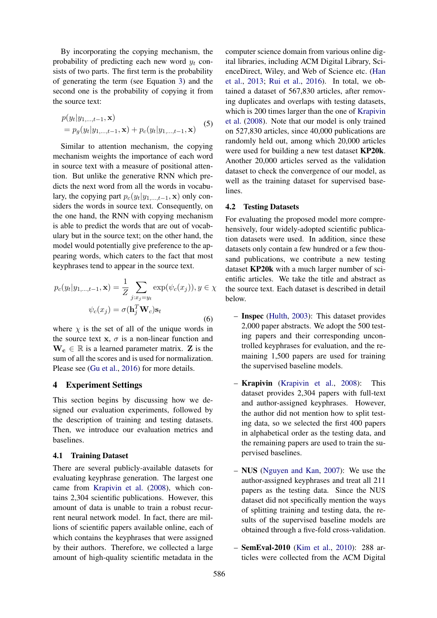By incorporating the copying mechanism, the probability of predicting each new word  $y_t$  consists of two parts. The first term is the probability of generating the term (see Equation 3) and the second one is the probability of copying it from the source text:

$$
p(y_t|y_{1,\dots,t-1}, \mathbf{x}) = p_g(y_t|y_{1,\dots,t-1}, \mathbf{x}) + p_c(y_t|y_{1,\dots,t-1}, \mathbf{x})
$$
 (5)

Similar to attention mechanism, the copying mechanism weights the importance of each word in source text with a measure of positional attention. But unlike the generative RNN which predicts the next word from all the words in vocabulary, the copying part  $p_c(y_t|y_{1,\dots,t-1}, \mathbf{x})$  only considers the words in source text. Consequently, on the one hand, the RNN with copying mechanism is able to predict the words that are out of vocabulary but in the source text; on the other hand, the model would potentially give preference to the appearing words, which caters to the fact that most keyphrases tend to appear in the source text.

$$
p_c(y_t|y_{1,\dots,t-1}, \mathbf{x}) = \frac{1}{Z} \sum_{j:x_j=y_t} \exp(\psi_c(x_j)), y \in \chi
$$

$$
\psi_c(x_j) = \sigma(\mathbf{h}_j^T \mathbf{W}_c) \mathbf{s}_t
$$
(6)

where  $\chi$  is the set of all of the unique words in the source text  $x, \sigma$  is a non-linear function and  $\mathbf{W_c} \in \mathbb{R}$  is a learned parameter matrix. Z is the sum of all the scores and is used for normalization. Please see (Gu et al., 2016) for more details.

# 4 Experiment Settings

This section begins by discussing how we designed our evaluation experiments, followed by the description of training and testing datasets. Then, we introduce our evaluation metrics and baselines.

# 4.1 Training Dataset

There are several publicly-available datasets for evaluating keyphrase generation. The largest one came from Krapivin et al. (2008), which contains 2,304 scientific publications. However, this amount of data is unable to train a robust recurrent neural network model. In fact, there are millions of scientific papers available online, each of which contains the keyphrases that were assigned by their authors. Therefore, we collected a large amount of high-quality scientific metadata in the

computer science domain from various online digital libraries, including ACM Digital Library, ScienceDirect, Wiley, and Web of Science etc. (Han et al., 2013; Rui et al., 2016). In total, we obtained a dataset of 567,830 articles, after removing duplicates and overlaps with testing datasets, which is 200 times larger than the one of Krapivin et al. (2008). Note that our model is only trained on 527,830 articles, since 40,000 publications are randomly held out, among which 20,000 articles were used for building a new test dataset KP20k. Another 20,000 articles served as the validation dataset to check the convergence of our model, as well as the training dataset for supervised baselines.

#### 4.2 Testing Datasets

For evaluating the proposed model more comprehensively, four widely-adopted scientific publication datasets were used. In addition, since these datasets only contain a few hundred or a few thousand publications, we contribute a new testing dataset KP20k with a much larger number of scientific articles. We take the title and abstract as the source text. Each dataset is described in detail below.

- Inspec (Hulth, 2003): This dataset provides 2,000 paper abstracts. We adopt the 500 testing papers and their corresponding uncontrolled keyphrases for evaluation, and the remaining 1,500 papers are used for training the supervised baseline models.
- Krapivin (Krapivin et al., 2008): This dataset provides 2,304 papers with full-text and author-assigned keyphrases. However, the author did not mention how to split testing data, so we selected the first 400 papers in alphabetical order as the testing data, and the remaining papers are used to train the supervised baselines.
- NUS (Nguyen and Kan, 2007): We use the author-assigned keyphrases and treat all 211 papers as the testing data. Since the NUS dataset did not specifically mention the ways of splitting training and testing data, the results of the supervised baseline models are obtained through a five-fold cross-validation.
- SemEval-2010 (Kim et al., 2010): 288 articles were collected from the ACM Digital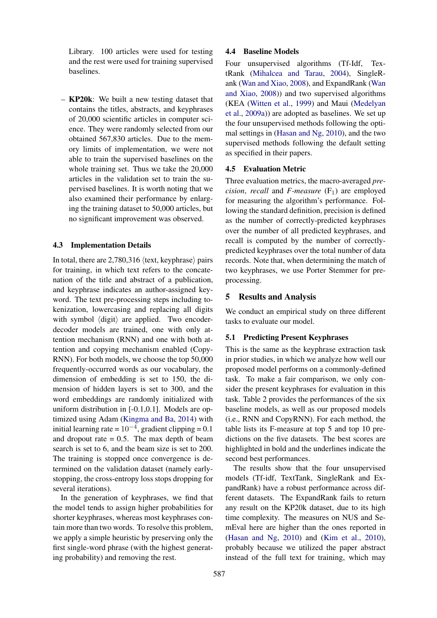Library. 100 articles were used for testing and the rest were used for training supervised baselines.

– KP20k: We built a new testing dataset that contains the titles, abstracts, and keyphrases of 20,000 scientific articles in computer science. They were randomly selected from our obtained 567,830 articles. Due to the memory limits of implementation, we were not able to train the supervised baselines on the whole training set. Thus we take the 20,000 articles in the validation set to train the supervised baselines. It is worth noting that we also examined their performance by enlarging the training dataset to 50,000 articles, but no significant improvement was observed.

### 4.3 Implementation Details

In total, there are  $2,780,316$  (text, keyphrase) pairs for training, in which text refers to the concatenation of the title and abstract of a publication, and keyphrase indicates an author-assigned keyword. The text pre-processing steps including tokenization, lowercasing and replacing all digits with symbol  $\langle$  digit $\rangle$  are applied. Two encoderdecoder models are trained, one with only attention mechanism (RNN) and one with both attention and copying mechanism enabled (Copy-RNN). For both models, we choose the top 50,000 frequently-occurred words as our vocabulary, the dimension of embedding is set to 150, the dimension of hidden layers is set to 300, and the word embeddings are randomly initialized with uniform distribution in [-0.1,0.1]. Models are optimized using Adam (Kingma and Ba, 2014) with initial learning rate =  $10^{-4}$ , gradient clipping = 0.1 and dropout rate  $= 0.5$ . The max depth of beam search is set to 6, and the beam size is set to 200. The training is stopped once convergence is determined on the validation dataset (namely earlystopping, the cross-entropy loss stops dropping for several iterations).

In the generation of keyphrases, we find that the model tends to assign higher probabilities for shorter keyphrases, whereas most keyphrases contain more than two words. To resolve this problem, we apply a simple heuristic by preserving only the first single-word phrase (with the highest generating probability) and removing the rest.

### 4.4 Baseline Models

Four unsupervised algorithms (Tf-Idf, TextRank (Mihalcea and Tarau, 2004), SingleRank (Wan and Xiao, 2008), and ExpandRank (Wan and Xiao, 2008)) and two supervised algorithms (KEA (Witten et al., 1999) and Maui (Medelyan et al., 2009a)) are adopted as baselines. We set up the four unsupervised methods following the optimal settings in (Hasan and Ng, 2010), and the two supervised methods following the default setting as specified in their papers.

### 4.5 Evaluation Metric

Three evaluation metrics, the macro-averaged *precision, recall* and *F-measure*  $(F_1)$  are employed for measuring the algorithm's performance. Following the standard definition, precision is defined as the number of correctly-predicted keyphrases over the number of all predicted keyphrases, and recall is computed by the number of correctlypredicted keyphrases over the total number of data records. Note that, when determining the match of two keyphrases, we use Porter Stemmer for preprocessing.

# 5 Results and Analysis

We conduct an empirical study on three different tasks to evaluate our model.

### 5.1 Predicting Present Keyphrases

This is the same as the keyphrase extraction task in prior studies, in which we analyze how well our proposed model performs on a commonly-defined task. To make a fair comparison, we only consider the present keyphrases for evaluation in this task. Table 2 provides the performances of the six baseline models, as well as our proposed models (i.e., RNN and CopyRNN). For each method, the table lists its F-measure at top 5 and top 10 predictions on the five datasets. The best scores are highlighted in bold and the underlines indicate the second best performances.

The results show that the four unsupervised models (Tf-idf, TextTank, SingleRank and ExpandRank) have a robust performance across different datasets. The ExpandRank fails to return any result on the KP20k dataset, due to its high time complexity. The measures on NUS and SemEval here are higher than the ones reported in (Hasan and Ng, 2010) and (Kim et al., 2010), probably because we utilized the paper abstract instead of the full text for training, which may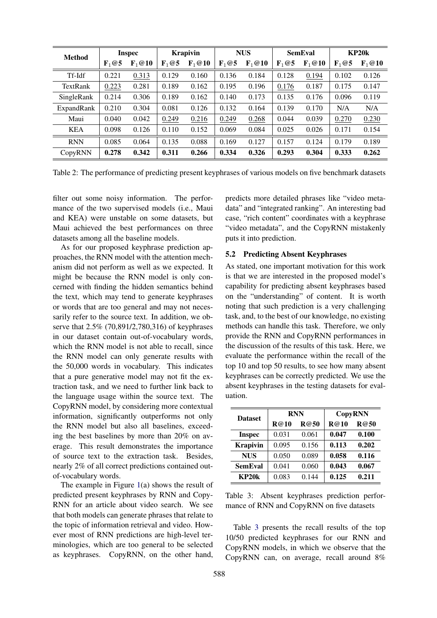| <b>Method</b> | <b>Inspec</b>    |                   | Krapivin         |                   | <b>NUS</b>       |                   | <b>SemEval</b>   |                   | KP20k            |                   |
|---------------|------------------|-------------------|------------------|-------------------|------------------|-------------------|------------------|-------------------|------------------|-------------------|
|               | $\mathbf{F}_1@5$ | $\mathbf{F}_1@10$ | $\mathbf{F}_1@5$ | $\mathbf{F}_1@10$ | $\mathbf{F}_1@5$ | $\mathbf{F}_1@10$ | $\mathbf{F}_1@5$ | $\mathbf{F}_1@10$ | $\mathbf{F}_1@5$ | $\mathbf{F}_1@10$ |
| Tf-Idf        | 0.221            | 0.313             | 0.129            | 0.160             | 0.136            | 0.184             | 0.128            | 0.194             | 0.102            | 0.126             |
| TextRank      | 0.223            | 0.281             | 0.189            | 0.162             | 0.195            | 0.196             | 0.176            | 0.187             | 0.175            | 0.147             |
| SingleRank    | 0.214            | 0.306             | 0.189            | 0.162             | 0.140            | 0.173             | 0.135            | 0.176             | 0.096            | 0.119             |
| ExpandRank    | 0.210            | 0.304             | 0.081            | 0.126             | 0.132            | 0.164             | 0.139            | 0.170             | N/A              | N/A               |
| Maui          | 0.040            | 0.042             | 0.249            | 0.216             | 0.249            | 0.268             | 0.044            | 0.039             | 0.270            | 0.230             |
| <b>KEA</b>    | 0.098            | 0.126             | 0.110            | 0.152             | 0.069            | 0.084             | 0.025            | 0.026             | 0.171            | 0.154             |
| <b>RNN</b>    | 0.085            | 0.064             | 0.135            | 0.088             | 0.169            | 0.127             | 0.157            | 0.124             | 0.179            | 0.189             |
| CopyRNN       | 0.278            | 0.342             | 0.311            | 0.266             | 0.334            | 0.326             | 0.293            | 0.304             | 0.333            | 0.262             |

Table 2: The performance of predicting present keyphrases of various models on five benchmark datasets

filter out some noisy information. The performance of the two supervised models (i.e., Maui and KEA) were unstable on some datasets, but Maui achieved the best performances on three datasets among all the baseline models.

As for our proposed keyphrase prediction approaches, the RNN model with the attention mechanism did not perform as well as we expected. It might be because the RNN model is only concerned with finding the hidden semantics behind the text, which may tend to generate keyphrases or words that are too general and may not necessarily refer to the source text. In addition, we observe that 2.5% (70,891/2,780,316) of keyphrases in our dataset contain out-of-vocabulary words, which the RNN model is not able to recall, since the RNN model can only generate results with the 50,000 words in vocabulary. This indicates that a pure generative model may not fit the extraction task, and we need to further link back to the language usage within the source text. The CopyRNN model, by considering more contextual information, significantly outperforms not only the RNN model but also all baselines, exceeding the best baselines by more than 20% on average. This result demonstrates the importance of source text to the extraction task. Besides, nearly 2% of all correct predictions contained outof-vocabulary words.

The example in Figure 1(a) shows the result of predicted present keyphrases by RNN and Copy-RNN for an article about video search. We see that both models can generate phrases that relate to the topic of information retrieval and video. However most of RNN predictions are high-level terminologies, which are too general to be selected as keyphrases. CopyRNN, on the other hand, predicts more detailed phrases like "video metadata" and "integrated ranking". An interesting bad case, "rich content" coordinates with a keyphrase "video metadata", and the CopyRNN mistakenly puts it into prediction.

# 5.2 Predicting Absent Keyphrases

As stated, one important motivation for this work is that we are interested in the proposed model's capability for predicting absent keyphrases based on the "understanding" of content. It is worth noting that such prediction is a very challenging task, and, to the best of our knowledge, no existing methods can handle this task. Therefore, we only provide the RNN and CopyRNN performances in the discussion of the results of this task. Here, we evaluate the performance within the recall of the top 10 and top 50 results, to see how many absent keyphrases can be correctly predicted. We use the absent keyphrases in the testing datasets for evaluation.

| <b>Dataset</b>    |              | <b>RNN</b> | <b>CopyRNN</b> |       |  |
|-------------------|--------------|------------|----------------|-------|--|
|                   | R@50<br>R@10 |            | R@10           | R@50  |  |
| <b>Inspec</b>     | 0.031        | 0.061      | 0.047          | 0.100 |  |
| <b>Krapivin</b>   | 0.095        | 0.156      | 0.113          | 0.202 |  |
| <b>NUS</b>        | 0.050        | 0.089      | 0.058          | 0.116 |  |
| <b>SemEval</b>    | 0.041        | 0.060      | 0.043          | 0.067 |  |
| KP <sub>20k</sub> | 0.083        | 0.144      | 0.125          | 0.211 |  |

Table 3: Absent keyphrases prediction performance of RNN and CopyRNN on five datasets

Table 3 presents the recall results of the top 10/50 predicted keyphrases for our RNN and CopyRNN models, in which we observe that the CopyRNN can, on average, recall around 8%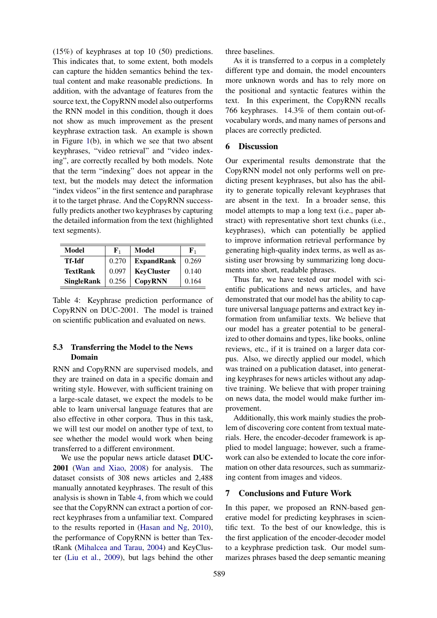(15%) of keyphrases at top 10 (50) predictions. This indicates that, to some extent, both models can capture the hidden semantics behind the textual content and make reasonable predictions. In addition, with the advantage of features from the source text, the CopyRNN model also outperforms the RNN model in this condition, though it does not show as much improvement as the present keyphrase extraction task. An example is shown in Figure 1(b), in which we see that two absent keyphrases, "video retrieval" and "video indexing", are correctly recalled by both models. Note that the term "indexing" does not appear in the text, but the models may detect the information "index videos" in the first sentence and paraphrase it to the target phrase. And the CopyRNN successfully predicts another two keyphrases by capturing the detailed information from the text (highlighted text segments).

| Model             | ${\bf F}_1$ | Model             | ${\bf F}_1$ |
|-------------------|-------------|-------------------|-------------|
| Tf-Idf            | 0.270       | <b>ExpandRank</b> | 0.269       |
| <b>TextRank</b>   | 0.097       | <b>KeyCluster</b> | 0.140       |
| <b>SingleRank</b> | 0.256       | <b>CopyRNN</b>    | 0.164       |

Table 4: Keyphrase prediction performance of CopyRNN on DUC-2001. The model is trained on scientific publication and evaluated on news.

# 5.3 Transferring the Model to the News Domain

RNN and CopyRNN are supervised models, and they are trained on data in a specific domain and writing style. However, with sufficient training on a large-scale dataset, we expect the models to be able to learn universal language features that are also effective in other corpora. Thus in this task, we will test our model on another type of text, to see whether the model would work when being transferred to a different environment.

We use the popular news article dataset DUC-2001 (Wan and Xiao, 2008) for analysis. The dataset consists of 308 news articles and 2,488 manually annotated keyphrases. The result of this analysis is shown in Table 4, from which we could see that the CopyRNN can extract a portion of correct keyphrases from a unfamiliar text. Compared to the results reported in (Hasan and Ng, 2010), the performance of CopyRNN is better than TextRank (Mihalcea and Tarau, 2004) and KeyCluster (Liu et al., 2009), but lags behind the other

three baselines.

As it is transferred to a corpus in a completely different type and domain, the model encounters more unknown words and has to rely more on the positional and syntactic features within the text. In this experiment, the CopyRNN recalls 766 keyphrases. 14.3% of them contain out-ofvocabulary words, and many names of persons and places are correctly predicted.

# 6 Discussion

Our experimental results demonstrate that the CopyRNN model not only performs well on predicting present keyphrases, but also has the ability to generate topically relevant keyphrases that are absent in the text. In a broader sense, this model attempts to map a long text (i.e., paper abstract) with representative short text chunks (i.e., keyphrases), which can potentially be applied to improve information retrieval performance by generating high-quality index terms, as well as assisting user browsing by summarizing long documents into short, readable phrases.

Thus far, we have tested our model with scientific publications and news articles, and have demonstrated that our model has the ability to capture universal language patterns and extract key information from unfamiliar texts. We believe that our model has a greater potential to be generalized to other domains and types, like books, online reviews, etc., if it is trained on a larger data corpus. Also, we directly applied our model, which was trained on a publication dataset, into generating keyphrases for news articles without any adaptive training. We believe that with proper training on news data, the model would make further improvement.

Additionally, this work mainly studies the problem of discovering core content from textual materials. Here, the encoder-decoder framework is applied to model language; however, such a framework can also be extended to locate the core information on other data resources, such as summarizing content from images and videos.

# 7 Conclusions and Future Work

In this paper, we proposed an RNN-based generative model for predicting keyphrases in scientific text. To the best of our knowledge, this is the first application of the encoder-decoder model to a keyphrase prediction task. Our model summarizes phrases based the deep semantic meaning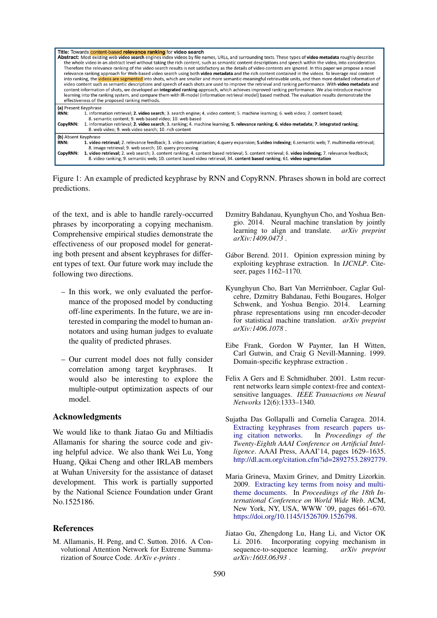| Title: Towards content-based relevance ranking for video search<br>Abstract: Most existing web video search engines index videos by file names, URLs, and surrounding texts. These types of video metadata roughly describe<br>the whole video in an abstract level without taking the rich content, such as semantic content descriptions and speech within the video, into consideration.<br>Therefore the relevance ranking of the video search results is not satisfactory as the details of video contents are ignored. In this paper we propose a novel<br>relevance ranking approach for Web-based video search using both <b>video metadata</b> and the rich content contained in the videos. To leverage real content<br>into ranking, the videos are segmented into shots, which are smaller and more semantic-meaningful retrievable units, and then more detailed information of<br>video content such as semantic descriptions and speech of each shots are used to improve the retrieval and ranking performance. With <b>video metadata</b> and<br>content information of shots, we developed an integrated ranking approach, which achieves improved ranking performance. We also introduce machine<br>learning into the ranking system, and compare them with IR-model (information retrieval model) based method. The evaluation results demonstrate the<br>effectiveness of the proposed ranking methods. |
|------------------------------------------------------------------------------------------------------------------------------------------------------------------------------------------------------------------------------------------------------------------------------------------------------------------------------------------------------------------------------------------------------------------------------------------------------------------------------------------------------------------------------------------------------------------------------------------------------------------------------------------------------------------------------------------------------------------------------------------------------------------------------------------------------------------------------------------------------------------------------------------------------------------------------------------------------------------------------------------------------------------------------------------------------------------------------------------------------------------------------------------------------------------------------------------------------------------------------------------------------------------------------------------------------------------------------------------------------------------------------------------------------------------------------|
| (a) Present Keyphrase<br>1. information retrieval; 2. video search; 3. search engine; 4. video content; 5. machine learning; 6. web video; 7. content based;<br><b>RNN:</b><br>8. semantic content: 9. web based video: 10. web based<br>1. information retrieval; 2. video search; 3. ranking; 4. machine learning; 5. relevance ranking; 6. video metadata; 7. integrated ranking;<br>CopyRNN:<br>8. web video; 9. web video search; 10. rich content                                                                                                                                                                                                                                                                                                                                                                                                                                                                                                                                                                                                                                                                                                                                                                                                                                                                                                                                                                      |
| (b) Absent Keyphrase<br>1. video retrieval; 2. relevance feedback; 3. video summarization; 4. query expansion; 5. video indexing; 6. semantic web; 7. multimedia retrieval;<br><b>RNN:</b><br>8. image retrieval; 9. web search; 10. query processing<br>1. video retrieval; 2. web search; 3. content ranking; 4. content based retrieval; 5. content retrieval; 6. video indexing; 7. relevance feedback;<br>CopyRNN:<br>8. video ranking; 9. semantic web; 10. content based video retrieval; 34. content based ranking; 61. video segmentation                                                                                                                                                                                                                                                                                                                                                                                                                                                                                                                                                                                                                                                                                                                                                                                                                                                                           |

Figure 1: An example of predicted keyphrase by RNN and CopyRNN. Phrases shown in bold are correct predictions.

of the text, and is able to handle rarely-occurred phrases by incorporating a copying mechanism. Comprehensive empirical studies demonstrate the effectiveness of our proposed model for generating both present and absent keyphrases for different types of text. Our future work may include the following two directions.

- In this work, we only evaluated the performance of the proposed model by conducting off-line experiments. In the future, we are interested in comparing the model to human annotators and using human judges to evaluate the quality of predicted phrases.
- Our current model does not fully consider correlation among target keyphrases. It would also be interesting to explore the multiple-output optimization aspects of our model.

# Acknowledgments

We would like to thank Jiatao Gu and Miltiadis Allamanis for sharing the source code and giving helpful advice. We also thank Wei Lu, Yong Huang, Qikai Cheng and other IRLAB members at Wuhan University for the assistance of dataset development. This work is partially supported by the National Science Foundation under Grant No.1525186.

# References

M. Allamanis, H. Peng, and C. Sutton. 2016. A Convolutional Attention Network for Extreme Summarization of Source Code. *ArXiv e-prints* .

- Dzmitry Bahdanau, Kyunghyun Cho, and Yoshua Bengio. 2014. Neural machine translation by jointly learning to align and translate. *arXiv preprint arXiv:1409.0473* .
- Gábor Berend. 2011. Opinion expression mining by exploiting keyphrase extraction. In *IJCNLP*. Citeseer, pages 1162–1170.
- Kyunghyun Cho, Bart Van Merrienboer, Caglar Gul- ¨ cehre, Dzmitry Bahdanau, Fethi Bougares, Holger Schwenk, and Yoshua Bengio. 2014. Learning phrase representations using rnn encoder-decoder for statistical machine translation. *arXiv preprint arXiv:1406.1078* .
- Eibe Frank, Gordon W Paynter, Ian H Witten, Carl Gutwin, and Craig G Nevill-Manning. 1999. Domain-specific keyphrase extraction .
- Felix A Gers and E Schmidhuber. 2001. Lstm recurrent networks learn simple context-free and contextsensitive languages. *IEEE Transactions on Neural Networks* 12(6):1333–1340.
- Sujatha Das Gollapalli and Cornelia Caragea. 2014. Extracting keyphrases from research papers using citation networks. In *Proceedings of the Twenty-Eighth AAAI Conference on Artificial Intelligence*. AAAI Press, AAAI'14, pages 1629–1635. http://dl.acm.org/citation.cfm?id=2892753.2892779.
- Maria Grineva, Maxim Grinev, and Dmitry Lizorkin. 2009. Extracting key terms from noisy and multitheme documents. In *Proceedings of the 18th International Conference on World Wide Web*. ACM, New York, NY, USA, WWW '09, pages 661–670. https://doi.org/10.1145/1526709.1526798.
- Jiatao Gu, Zhengdong Lu, Hang Li, and Victor OK Li. 2016. Incorporating copying mechanism in sequence-to-sequence learning. *arXiv preprint arXiv:1603.06393* .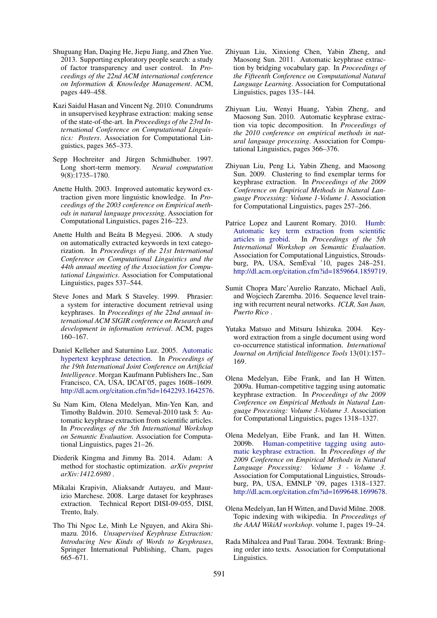- Shuguang Han, Daqing He, Jiepu Jiang, and Zhen Yue. 2013. Supporting exploratory people search: a study of factor transparency and user control. In *Proceedings of the 22nd ACM international conference on Information & Knowledge Management*. ACM, pages 449–458.
- Kazi Saidul Hasan and Vincent Ng. 2010. Conundrums in unsupervised keyphrase extraction: making sense of the state-of-the-art. In *Proceedings of the 23rd International Conference on Computational Linguistics: Posters*. Association for Computational Linguistics, pages 365–373.
- Sepp Hochreiter and Jürgen Schmidhuber. 1997. Long short-term memory. *Neural computation* 9(8):1735–1780.
- Anette Hulth. 2003. Improved automatic keyword extraction given more linguistic knowledge. In *Proceedings of the 2003 conference on Empirical methods in natural language processing*. Association for Computational Linguistics, pages 216–223.
- Anette Hulth and Beáta B Megyesi. 2006. A study on automatically extracted keywords in text categorization. In *Proceedings of the 21st International Conference on Computational Linguistics and the 44th annual meeting of the Association for Computational Linguistics*. Association for Computational Linguistics, pages 537–544.
- Steve Jones and Mark S Staveley. 1999. Phrasier: a system for interactive document retrieval using keyphrases. In *Proceedings of the 22nd annual international ACM SIGIR conference on Research and development in information retrieval*. ACM, pages 160–167.
- Daniel Kelleher and Saturnino Luz. 2005. Automatic hypertext keyphrase detection. In *Proceedings of the 19th International Joint Conference on Artificial Intelligence*. Morgan Kaufmann Publishers Inc., San Francisco, CA, USA, IJCAI'05, pages 1608–1609. http://dl.acm.org/citation.cfm?id=1642293.1642576.
- Su Nam Kim, Olena Medelyan, Min-Yen Kan, and Timothy Baldwin. 2010. Semeval-2010 task 5: Automatic keyphrase extraction from scientific articles. In *Proceedings of the 5th International Workshop on Semantic Evaluation*. Association for Computational Linguistics, pages 21–26.
- Diederik Kingma and Jimmy Ba. 2014. Adam: A method for stochastic optimization. *arXiv preprint arXiv:1412.6980* .
- Mikalai Krapivin, Aliaksandr Autayeu, and Maurizio Marchese. 2008. Large dataset for keyphrases extraction. Technical Report DISI-09-055, DISI, Trento, Italy.
- Tho Thi Ngoc Le, Minh Le Nguyen, and Akira Shimazu. 2016. *Unsupervised Keyphrase Extraction: Introducing New Kinds of Words to Keyphrases*, Springer International Publishing, Cham, pages 665–671.
- Zhiyuan Liu, Xinxiong Chen, Yabin Zheng, and Maosong Sun. 2011. Automatic keyphrase extraction by bridging vocabulary gap. In *Proceedings of the Fifteenth Conference on Computational Natural Language Learning*. Association for Computational Linguistics, pages 135–144.
- Zhiyuan Liu, Wenyi Huang, Yabin Zheng, and Maosong Sun. 2010. Automatic keyphrase extraction via topic decomposition. In *Proceedings of the 2010 conference on empirical methods in natural language processing*. Association for Computational Linguistics, pages 366–376.
- Zhiyuan Liu, Peng Li, Yabin Zheng, and Maosong Sun. 2009. Clustering to find exemplar terms for keyphrase extraction. In *Proceedings of the 2009 Conference on Empirical Methods in Natural Language Processing: Volume 1-Volume 1*. Association for Computational Linguistics, pages 257–266.
- Patrice Lopez and Laurent Romary. 2010. Humb: Automatic key term extraction from scientific articles in grobid. In *Proceedings of the 5th International Workshop on Semantic Evaluation*. Association for Computational Linguistics, Stroudsburg, PA, USA, SemEval '10, pages 248–251. http://dl.acm.org/citation.cfm?id=1859664.1859719.
- Sumit Chopra Marc'Aurelio Ranzato, Michael Auli, and Wojciech Zaremba. 2016. Sequence level training with recurrent neural networks. *ICLR, San Juan, Puerto Rico* .
- Yutaka Matsuo and Mitsuru Ishizuka. 2004. Keyword extraction from a single document using word co-occurrence statistical information. *International Journal on Artificial Intelligence Tools* 13(01):157– 169.
- Olena Medelyan, Eibe Frank, and Ian H Witten. 2009a. Human-competitive tagging using automatic keyphrase extraction. In *Proceedings of the 2009 Conference on Empirical Methods in Natural Language Processing: Volume 3-Volume 3*. Association for Computational Linguistics, pages 1318–1327.
- Olena Medelyan, Eibe Frank, and Ian H. Witten. 2009b. Human-competitive tagging using automatic keyphrase extraction. In *Proceedings of the 2009 Conference on Empirical Methods in Natural Language Processing: Volume 3 - Volume 3*. Association for Computational Linguistics, Stroudsburg, PA, USA, EMNLP '09, pages 1318–1327. http://dl.acm.org/citation.cfm?id=1699648.1699678.
- Olena Medelyan, Ian H Witten, and David Milne. 2008. Topic indexing with wikipedia. In *Proceedings of the AAAI WikiAI workshop*. volume 1, pages 19–24.
- Rada Mihalcea and Paul Tarau. 2004. Textrank: Bringing order into texts. Association for Computational Linguistics.